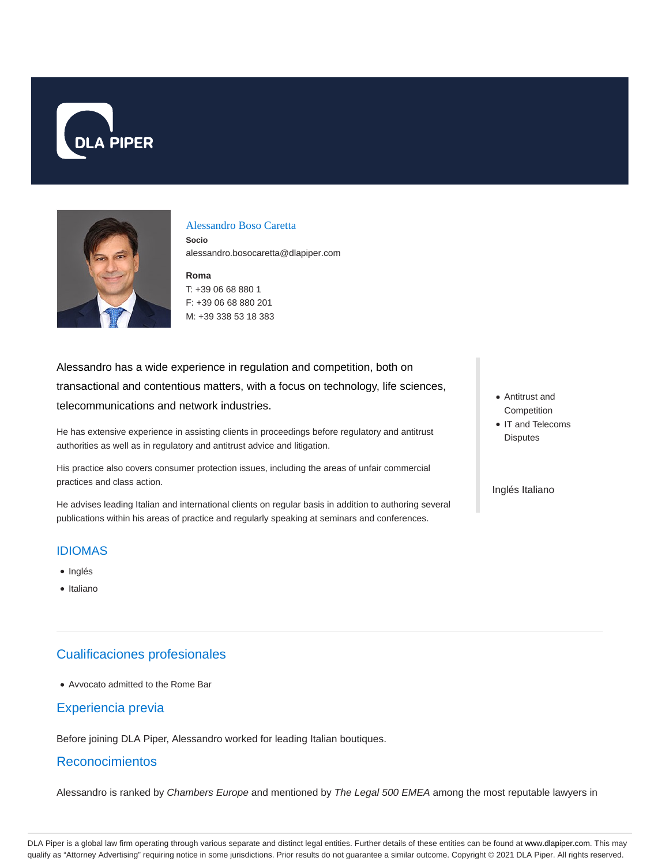



#### Alessandro Boso Caretta

**Socio** alessandro.bosocaretta@dlapiper.com

**Roma** T: +39 06 68 880 1 F: +39 06 68 880 201 M: +39 338 53 18 383

Alessandro has a wide experience in regulation and competition, both on transactional and contentious matters, with a focus on technology, life sciences, telecommunications and network industries.

He has extensive experience in assisting clients in proceedings before regulatory and antitrust authorities as well as in regulatory and antitrust advice and litigation.

His practice also covers consumer protection issues, including the areas of unfair commercial practices and class action.

He advises leading Italian and international clients on regular basis in addition to authoring several publications within his areas of practice and regularly speaking at seminars and conferences.

- Antitrust and **Competition**
- IT and Telecoms **Disputes**

Inglés Italiano

#### IDIOMAS

- Inglés
- Italiano

## Cualificaciones profesionales

Avvocato admitted to the Rome Bar

### Experiencia previa

Before joining DLA Piper, Alessandro worked for leading Italian boutiques.

#### Reconocimientos

Alessandro is ranked by Chambers Europe and mentioned by The Legal 500 EMEA among the most reputable lawyers in

DLA Piper is a global law firm operating through various separate and distinct legal entities. Further details of these entities can be found at www.dlapiper.com. This may qualify as "Attorney Advertising" requiring notice in some jurisdictions. Prior results do not guarantee a similar outcome. Copyright © 2021 DLA Piper. All rights reserved.